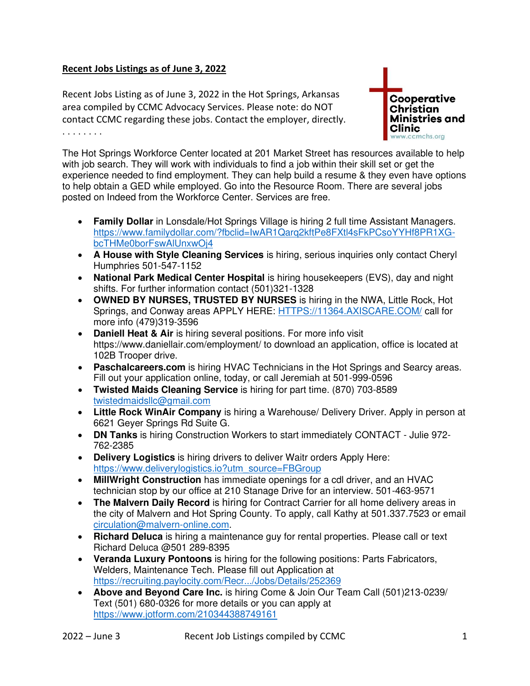## **Recent Jobs Listings as of June 3, 2022**

Recent Jobs Listing as of June 3, 2022 in the Hot Springs, Arkansas area compiled by CCMC Advocacy Services. Please note: do NOT contact CCMC regarding these jobs. Contact the employer, directly. . . . . . . . .



The Hot Springs Workforce Center located at 201 Market Street has resources available to help with job search. They will work with individuals to find a job within their skill set or get the experience needed to find employment. They can help build a resume & they even have options to help obtain a GED while employed. Go into the Resource Room. There are several jobs posted on Indeed from the Workforce Center. Services are free.

- **Family Dollar** in Lonsdale/Hot Springs Village is hiring 2 full time Assistant Managers. [https://www.familydollar.com/?fbclid=IwAR1Qarq2kftPe8FXtl4sFkPCsoYYHf8PR1XG](https://www.familydollar.com/?fbclid=IwAR1Qarq2kftPe8FXtl4sFkPCsoYYHf8PR1XG-bcTHMe0borFswAlUnxwOj4)[bcTHMe0borFswAlUnxwOj4](https://www.familydollar.com/?fbclid=IwAR1Qarq2kftPe8FXtl4sFkPCsoYYHf8PR1XG-bcTHMe0borFswAlUnxwOj4)
- **A House with Style Cleaning Services** is hiring, serious inquiries only contact Cheryl Humphries 501-547-1152
- **National Park Medical Center Hospital** is hiring housekeepers (EVS), day and night shifts. For further information contact (501)321-1328
- **OWNED BY NURSES, TRUSTED BY NURSES** is hiring in the NWA, Little Rock, Hot Springs, and Conway areas APPLY HERE: [HTTPS://11364.AXISCARE.COM/](https://11364.axiscare.com/) call for more info (479)319-3596
- **Daniell Heat & Air** is hiring several positions. For more info visit https://www.daniellair.com/employment/ to download an application, office is located at 102B Trooper drive.
- **Paschalcareers.com** is hiring HVAC Technicians in the Hot Springs and Searcy areas. Fill out your application online, today, or call Jeremiah at 501-999-0596
- **Twisted Maids Cleaning Service** is hiring for part time. (870) 703-8589 [twistedmaidsllc@gmail.com](mailto:twistedmaidsllc@gmail.com)
- **Little Rock WinAir Company** is hiring a Warehouse/ Delivery Driver. Apply in person at 6621 Geyer Springs Rd Suite G.
- **DN Tanks** is hiring Construction Workers to start immediately CONTACT Julie 972- 762-2385
- **Delivery Logistics** is hiring drivers to deliver Waitr orders Apply Here: [https://www.deliverylogistics.io?utm\\_source=FBGroup](https://www.deliverylogistics.io/?utm_source=FBGroup)
- **MillWright Construction** has immediate openings for a cdl driver, and an HVAC technician stop by our office at 210 Stanage Drive for an interview. 501-463-9571
- **The Malvern Daily Record** is hiring for Contract Carrier for all home delivery areas in the city of Malvern and Hot Spring County. To apply, call Kathy at 501.337.7523 or email [circulation@malvern-online.com.](mailto:circulation@malvern-online.com)
- **Richard Deluca** is hiring a maintenance guy for rental properties. Please call or text Richard Deluca @501 289-8395
- **Veranda Luxury Pontoons** is hiring for the following positions: Parts Fabricators, Welders, Maintenance Tech. Please fill out Application at <https://recruiting.paylocity.com/Recr.../Jobs/Details/252369>
- **Above and Beyond Care Inc.** is hiring Come & Join Our Team Call (501)213-0239/ Text (501) 680-0326 for more details or you can apply at <https://www.jotform.com/210344388749161>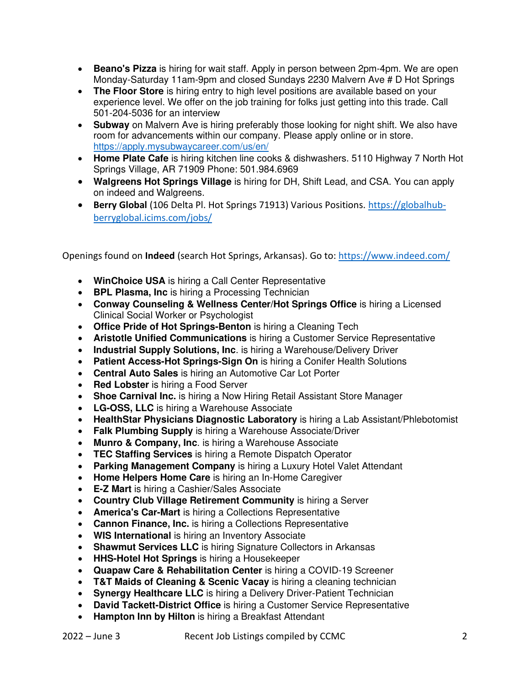- **Beano's Pizza** is hiring for wait staff. Apply in person between 2pm-4pm. We are open Monday-Saturday 11am-9pm and closed Sundays 2230 Malvern Ave # D Hot Springs
- **The Floor Store** is hiring entry to high level positions are available based on your experience level. We offer on the job training for folks just getting into this trade. Call 501-204-5036 for an interview
- **Subway** on Malvern Ave is hiring preferably those looking for night shift. We also have room for advancements within our company. Please apply online or in store. <https://apply.mysubwaycareer.com/us/en/>
- **Home Plate Cafe** is hiring kitchen line cooks & dishwashers. 5110 Highway 7 North Hot Springs Village, AR 71909 Phone: 501.984.6969
- **Walgreens Hot Springs Village** is hiring for DH, Shift Lead, and CSA. You can apply on indeed and Walgreens.
- **Berry Global** (106 Delta Pl. Hot Springs 71913) Various Positions. [https://globalhub](https://globalhub-berryglobal.icims.com/jobs/)[berryglobal.icims.com/jobs/](https://globalhub-berryglobal.icims.com/jobs/)

Openings found on **Indeed** (search Hot Springs, Arkansas). Go to:<https://www.indeed.com/>

- **WinChoice USA** is hiring a Call Center Representative
- **BPL Plasma, Inc** is hiring a Processing Technician
- **Conway Counseling & Wellness Center/Hot Springs Office** is hiring a Licensed Clinical Social Worker or Psychologist
- **Office Pride of Hot Springs-Benton** is hiring a Cleaning Tech
- **Aristotle Unified Communications** is hiring a Customer Service Representative
- **Industrial Supply Solutions, Inc**. is hiring a Warehouse/Delivery Driver
- **Patient Access-Hot Springs-Sign On** is hiring a Conifer Health Solutions
- **Central Auto Sales** is hiring an Automotive Car Lot Porter
- **Red Lobster** is hiring a Food Server
- **Shoe Carnival Inc.** is hiring a Now Hiring Retail Assistant Store Manager
- **LG-OSS, LLC** is hiring a Warehouse Associate
- **HealthStar Physicians Diagnostic Laboratory** is hiring a Lab Assistant/Phlebotomist
- **Falk Plumbing Supply** is hiring a Warehouse Associate/Driver
- **Munro & Company, Inc**. is hiring a Warehouse Associate
- **TEC Staffing Services** is hiring a Remote Dispatch Operator
- **Parking Management Company** is hiring a Luxury Hotel Valet Attendant
- **Home Helpers Home Care** is hiring an In-Home Caregiver
- **E-Z Mart** is hiring a Cashier/Sales Associate
- **Country Club Village Retirement Community** is hiring a Server
- **America's Car-Mart** is hiring a Collections Representative
- **Cannon Finance, Inc.** is hiring a Collections Representative
- **WIS International** is hiring an Inventory Associate
- **Shawmut Services LLC** is hiring Signature Collectors in Arkansas
- **HHS-Hotel Hot Springs** is hiring a Housekeeper
- **Quapaw Care & Rehabilitation Center** is hiring a COVID-19 Screener
- **T&T Maids of Cleaning & Scenic Vacay** is hiring a cleaning technician
- **Synergy Healthcare LLC** is hiring a Delivery Driver-Patient Technician
- **David Tackett-District Office** is hiring a Customer Service Representative
- **Hampton Inn by Hilton** is hiring a Breakfast Attendant